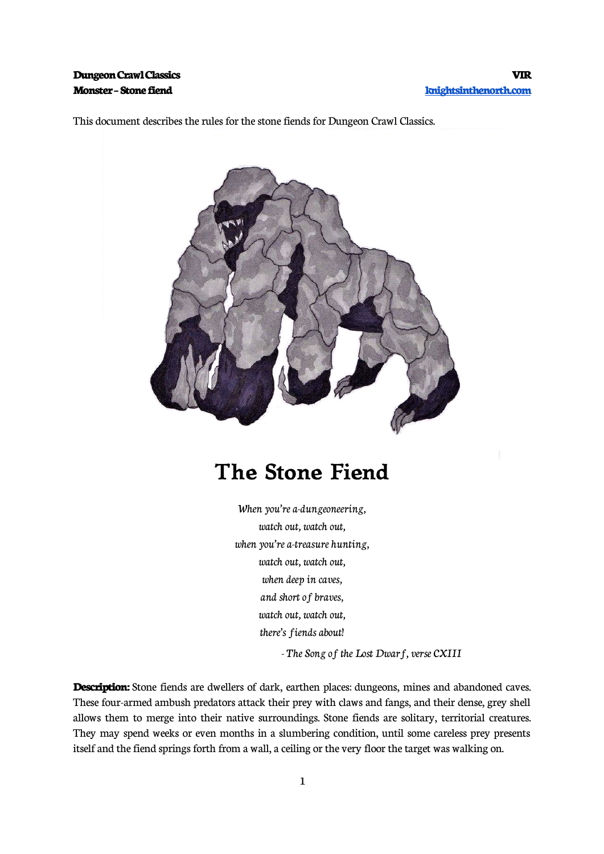This document describes the rules for the stone fiends for Dungeon Crawl Classics.



## **The Stone Fiend**

When you're a-dungeoneering, watch out, watch out, when you're a-treasure hunting, watch out, watch out, when deep in caves, and short of braves, watch out, watch out, there's fiends about!

- The Song of the Lost Dwarf, verse CXIII

**Description:** Stone fiends are dwellers of dark, earthen places: dungeons, mines and abandoned caves. These four-armed ambush predators attack their prey with claws and fangs, and their dense, grey shell allows them to merge into their native surroundings. Stone fiends are solitary, territorial creatures. They may spend weeks or even months in a slumbering condition, until some careless prey presents itself and the fiend springs forth from a wall, a ceiling or the very floor the target was walking on.